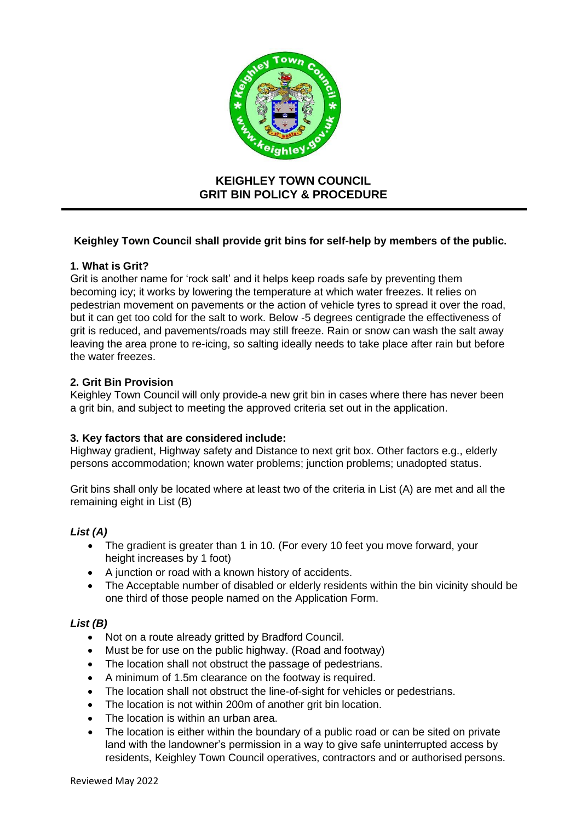

# **KEIGHLEY TOWN COUNCIL GRIT BIN POLICY & PROCEDURE**

# **Keighley Town Council shall provide grit bins for self-help by members of the public.**

## **1. What is Grit?**

Grit is another name for 'rock salt' and it helps keep roads safe by preventing them becoming icy; it works by lowering the temperature at which water freezes. It relies on pedestrian movement on pavements or the action of vehicle tyres to spread it over the road, but it can get too cold for the salt to work. Below -5 degrees centigrade the effectiveness of grit is reduced, and pavements/roads may still freeze. Rain or snow can wash the salt away leaving the area prone to re-icing, so salting ideally needs to take place after rain but before the water freezes.

## **2. Grit Bin Provision**

Keighley Town Council will only provide a new grit bin in cases where there has never been a grit bin, and subject to meeting the approved criteria set out in the application.

## **3. Key factors that are considered include:**

Highway gradient, Highway safety and Distance to next grit box. Other factors e.g., elderly persons accommodation; known water problems; junction problems; unadopted status.

Grit bins shall only be located where at least two of the criteria in List (A) are met and all the remaining eight in List (B)

## *List (A)*

- The gradient is greater than 1 in 10. (For every 10 feet you move forward, your height increases by 1 foot)
- A junction or road with a known history of accidents.
- The Acceptable number of disabled or elderly residents within the bin vicinity should be one third of those people named on the Application Form.

## *List (B)*

- Not on a route already gritted by Bradford Council.
- Must be for use on the public highway. (Road and footway)
- The location shall not obstruct the passage of pedestrians.
- A minimum of 1.5m clearance on the footway is required.
- The location shall not obstruct the line-of-sight for vehicles or pedestrians.
- The location is not within 200m of another grit bin location.
- The location is within an urban area.
- The location is either within the boundary of a public road or can be sited on private land with the landowner's permission in a way to give safe uninterrupted access by residents, Keighley Town Council operatives, contractors and or authorised persons.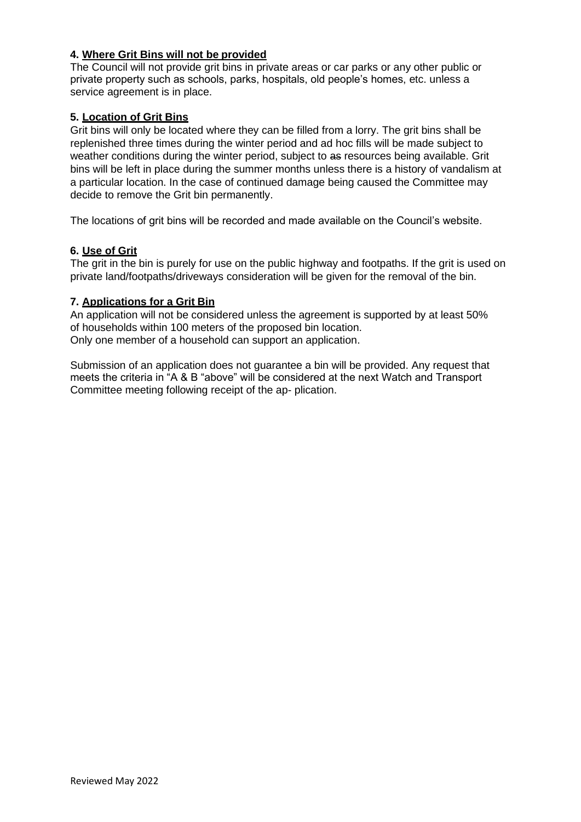# **4. Where Grit Bins will not be provided**

The Council will not provide grit bins in private areas or car parks or any other public or private property such as schools, parks, hospitals, old people's homes, etc. unless a service agreement is in place.

## **5. Location of Grit Bins**

Grit bins will only be located where they can be filled from a lorry. The grit bins shall be replenished three times during the winter period and ad hoc fills will be made subject to weather conditions during the winter period, subject to as resources being available. Grit bins will be left in place during the summer months unless there is a history of vandalism at a particular location. In the case of continued damage being caused the Committee may decide to remove the Grit bin permanently.

The locations of grit bins will be recorded and made available on the Council's website.

## **6. Use of Grit**

The grit in the bin is purely for use on the public highway and footpaths. If the grit is used on private land/footpaths/driveways consideration will be given for the removal of the bin.

## **7. Applications for a Grit Bin**

An application will not be considered unless the agreement is supported by at least 50% of households within 100 meters of the proposed bin location. Only one member of a household can support an application.

Submission of an application does not guarantee a bin will be provided. Any request that meets the criteria in "A & B "above" will be considered at the next Watch and Transport Committee meeting following receipt of the ap- plication.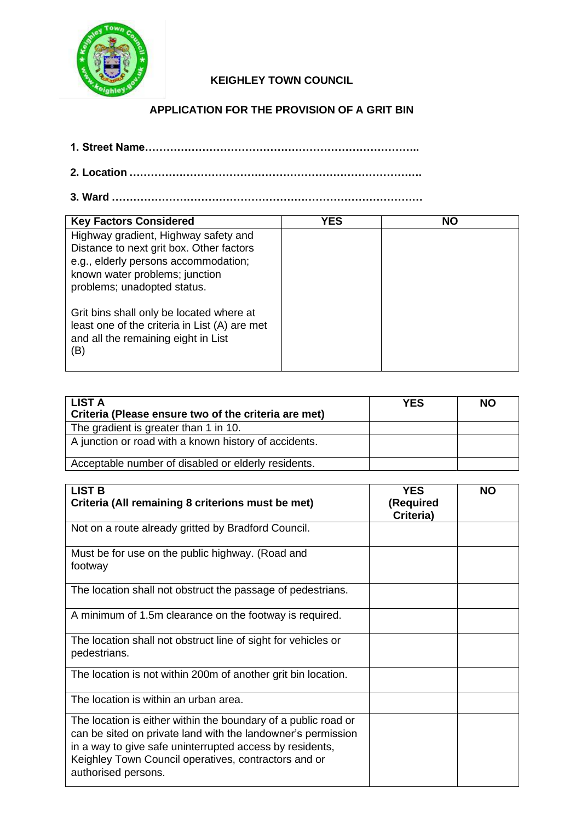

# **KEIGHLEY TOWN COUNCIL**

**APPLICATION FOR THE PROVISION OF A GRIT BIN**

- **1. Street Name…………………………………………………………………..**
- **2. Location ……………………………………………………………………….**
- **3. Ward ……………………………………………………………………………**

| <b>Key Factors Considered</b>                                                                                                                                                             | YES | <b>NO</b> |
|-------------------------------------------------------------------------------------------------------------------------------------------------------------------------------------------|-----|-----------|
| Highway gradient, Highway safety and<br>Distance to next grit box. Other factors<br>e.g., elderly persons accommodation;<br>known water problems; junction<br>problems; unadopted status. |     |           |
| Grit bins shall only be located where at<br>least one of the criteria in List (A) are met<br>and all the remaining eight in List<br>(B)                                                   |     |           |

| LIST A<br>Criteria (Please ensure two of the criteria are met) | <b>YES</b> | <b>NO</b> |
|----------------------------------------------------------------|------------|-----------|
| The gradient is greater than 1 in 10.                          |            |           |
| A junction or road with a known history of accidents.          |            |           |
| Acceptable number of disabled or elderly residents.            |            |           |

| <b>LIST B</b><br>Criteria (All remaining 8 criterions must be met)                                                                                                                                                                                                        | <b>YES</b><br>(Required<br>Criteria) | <b>NO</b> |
|---------------------------------------------------------------------------------------------------------------------------------------------------------------------------------------------------------------------------------------------------------------------------|--------------------------------------|-----------|
| Not on a route already gritted by Bradford Council.                                                                                                                                                                                                                       |                                      |           |
| Must be for use on the public highway. (Road and<br>footway                                                                                                                                                                                                               |                                      |           |
| The location shall not obstruct the passage of pedestrians.                                                                                                                                                                                                               |                                      |           |
| A minimum of 1.5m clearance on the footway is required.                                                                                                                                                                                                                   |                                      |           |
| The location shall not obstruct line of sight for vehicles or<br>pedestrians.                                                                                                                                                                                             |                                      |           |
| The location is not within 200m of another grit bin location.                                                                                                                                                                                                             |                                      |           |
| The location is within an urban area.                                                                                                                                                                                                                                     |                                      |           |
| The location is either within the boundary of a public road or<br>can be sited on private land with the landowner's permission<br>in a way to give safe uninterrupted access by residents,<br>Keighley Town Council operatives, contractors and or<br>authorised persons. |                                      |           |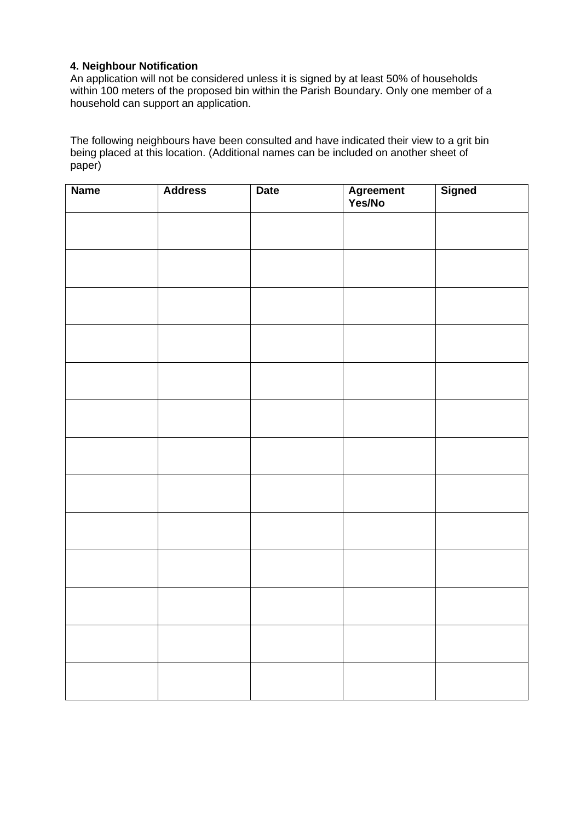## **4. Neighbour Notification**

An application will not be considered unless it is signed by at least 50% of households within 100 meters of the proposed bin within the Parish Boundary. Only one member of a household can support an application.

The following neighbours have been consulted and have indicated their view to a grit bin being placed at this location. (Additional names can be included on another sheet of paper)

| <b>Name</b> | <b>Address</b> | <b>Date</b> | Agreement<br>Yes/No | <b>Signed</b> |
|-------------|----------------|-------------|---------------------|---------------|
|             |                |             |                     |               |
|             |                |             |                     |               |
|             |                |             |                     |               |
|             |                |             |                     |               |
|             |                |             |                     |               |
|             |                |             |                     |               |
|             |                |             |                     |               |
|             |                |             |                     |               |
|             |                |             |                     |               |
|             |                |             |                     |               |
|             |                |             |                     |               |
|             |                |             |                     |               |
|             |                |             |                     |               |